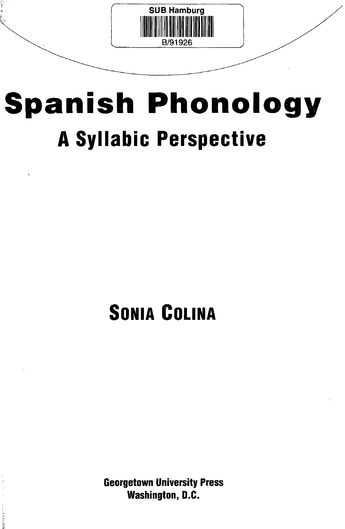

# **Spanish Phonology A Syllabic Perspective**

## **SONIA COLINA**

**Georgetown University Press Washington, D.C.**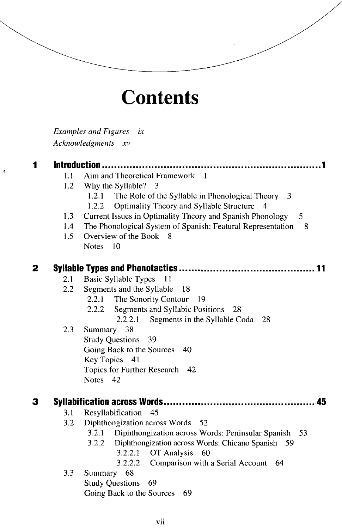### **Contents**

*Examples and Figures ix Acknowledgments xv*

#### 1 **Introduction** ............

- I. I Aim and Theoretical Framework 1
- 1.2 Why the Syllable? 3
	- 1.2.1 The Role of the Syllable in Phonological Theory 3
	- 1.2.2 Optimality Theory and Syllable Structure
- 1.3 Current Issues in Optimality Theory and Spanish Phonology 5
- 1.4 The Phonological System of Spanish: Featural Representation 8
- 1.5 Overview of the Book 8 Notes 10

#### $\overline{2}$ **Syllable Types and Phonotactics 11**

- 2.1 Basic Syllable Types 11
- 2.2 Segments and the Syllable 18
	- 2.2.1 The Sonority Contour 19
	- 2.2.2 Segments and Syllabic Positions 28
		- 2.2.2.1 Segments in the Syllable Coda 28
- 2.3 Summary 38 Study Questions 39 Going Back to the Sources 40 Key Topics 41 Topics for Further Research 42 Notes 42

#### 3 **Syllabification across Words 45**

- 3.1 Resyllabification 45
- 3.2 Diphthongization across Words 52
	- 3.2.1 Diphthongization across Words: Peninsular Spanish 53
	- 3.2.2 Diphthongization across Words: Chicano Spanish 59
		- 3.2.2.1 OT Analysis 60
		- 3.2.2.2 Comparison with a Serial Account 64
- 3.3 Summary 68

Study Questions 69 Going Back to the Sources 69